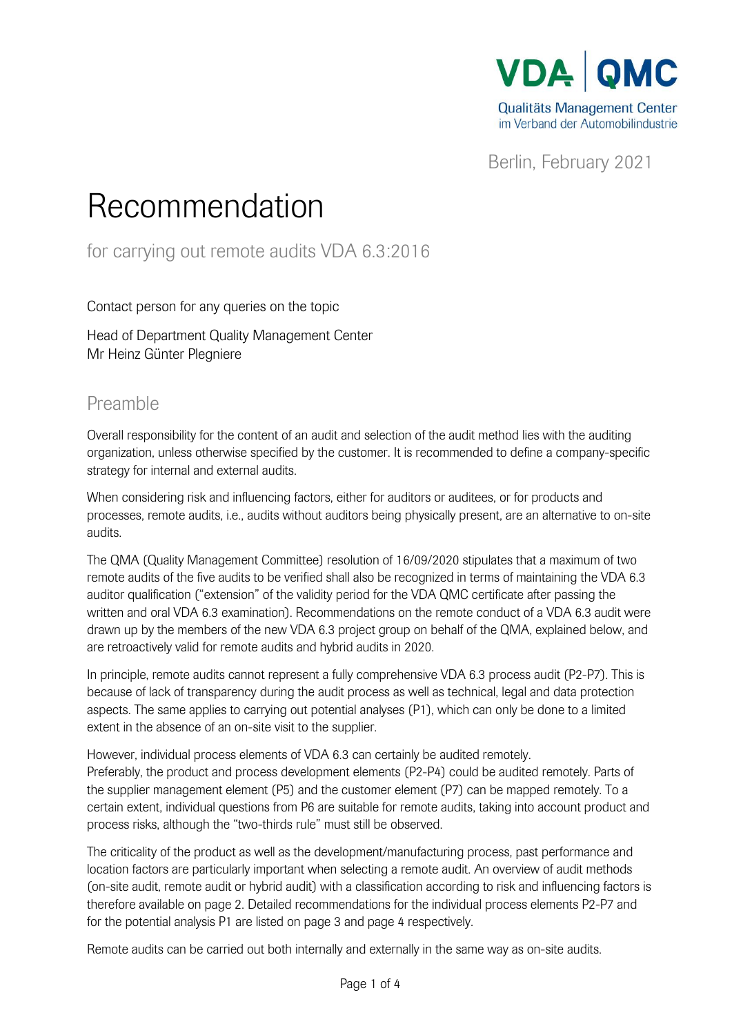

Berlin, February 2021

## Recommendation

for carrying out remote audits VDA 6.3:2016

Contact person for any queries on the topic

Head of Department Quality Management Center Mr Heinz Günter Plegniere

## Preamble

Overall responsibility for the content of an audit and selection of the audit method lies with the auditing organization, unless otherwise specified by the customer. It is recommended to define a company-specific strategy for internal and external audits.

When considering risk and influencing factors, either for auditors or auditees, or for products and processes, remote audits, i.e., audits without auditors being physically present, are an alternative to on-site audits.

The QMA (Quality Management Committee) resolution of 16/09/2020 stipulates that a maximum of two remote audits of the five audits to be verified shall also be recognized in terms of maintaining the VDA 6.3 auditor qualification ("extension" of the validity period for the VDA QMC certificate after passing the written and oral VDA 6.3 examination). Recommendations on the remote conduct of a VDA 6.3 audit were drawn up by the members of the new VDA 6.3 project group on behalf of the QMA, explained below, and are retroactively valid for remote audits and hybrid audits in 2020.

In principle, remote audits cannot represent a fully comprehensive VDA 6.3 process audit (P2-P7). This is because of lack of transparency during the audit process as well as technical, legal and data protection aspects. The same applies to carrying out potential analyses (P1), which can only be done to a limited extent in the absence of an on-site visit to the supplier.

However, individual process elements of VDA 6.3 can certainly be audited remotely. Preferably, the product and process development elements (P2-P4) could be audited remotely. Parts of the supplier management element (P5) and the customer element (P7) can be mapped remotely. To a certain extent, individual questions from P6 are suitable for remote audits, taking into account product and process risks, although the "two-thirds rule" must still be observed.

The criticality of the product as well as the development/manufacturing process, past performance and location factors are particularly important when selecting a remote audit. An overview of audit methods (on-site audit, remote audit or hybrid audit) with a classification according to risk and influencing factors is therefore available on page 2. Detailed recommendations for the individual process elements P2-P7 and for the potential analysis P1 are listed on page 3 and page 4 respectively.

Remote audits can be carried out both internally and externally in the same way as on-site audits.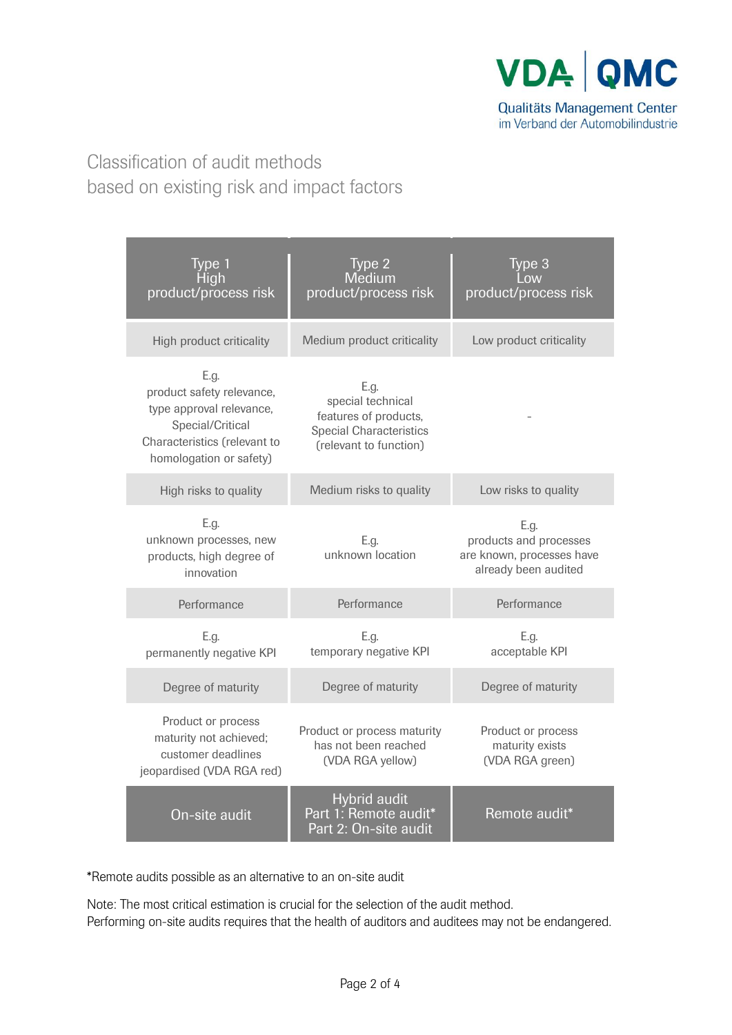

## Classification of audit methods based on existing risk and impact factors

| Type 1<br>High<br>product/process risk                                                                                                       | Type 2<br>Medium<br>product/process risk                                                                       | Type 3<br>product/process risk                                                      |  |
|----------------------------------------------------------------------------------------------------------------------------------------------|----------------------------------------------------------------------------------------------------------------|-------------------------------------------------------------------------------------|--|
| High product criticality                                                                                                                     | Medium product criticality                                                                                     | Low product criticality                                                             |  |
| E.g.<br>product safety relevance,<br>type approval relevance,<br>Special/Critical<br>Characteristics (relevant to<br>homologation or safety) | E.g.<br>special technical<br>features of products,<br><b>Special Characteristics</b><br>(relevant to function) |                                                                                     |  |
| High risks to quality                                                                                                                        | Medium risks to quality                                                                                        | Low risks to quality                                                                |  |
| E.g.<br>unknown processes, new<br>products, high degree of<br>innovation                                                                     | E.a.<br>unknown location                                                                                       | E.g.<br>products and processes<br>are known, processes have<br>already been audited |  |
| Performance                                                                                                                                  | Performance                                                                                                    | Performance                                                                         |  |
| E.g.<br>permanently negative KPI                                                                                                             | E.g.<br>temporary negative KPI                                                                                 | E.g.<br>acceptable KPI                                                              |  |
| Degree of maturity                                                                                                                           | Degree of maturity                                                                                             | Degree of maturity                                                                  |  |
| Product or process<br>maturity not achieved;<br>customer deadlines<br>jeopardised (VDA RGA red)                                              | Product or process maturity<br>has not been reached<br>(VDA RGA yellow)                                        | Product or process<br>maturity exists<br>(VDA RGA green)                            |  |
| On-site audit                                                                                                                                | Hybrid audit<br>Part 1: Remote audit*<br>Part 2: On-site audit                                                 | Remote audit*                                                                       |  |

\*Remote audits possible as an alternative to an on-site audit

Note: The most critical estimation is crucial for the selection of the audit method. Performing on-site audits requires that the health of auditors and auditees may not be endangered.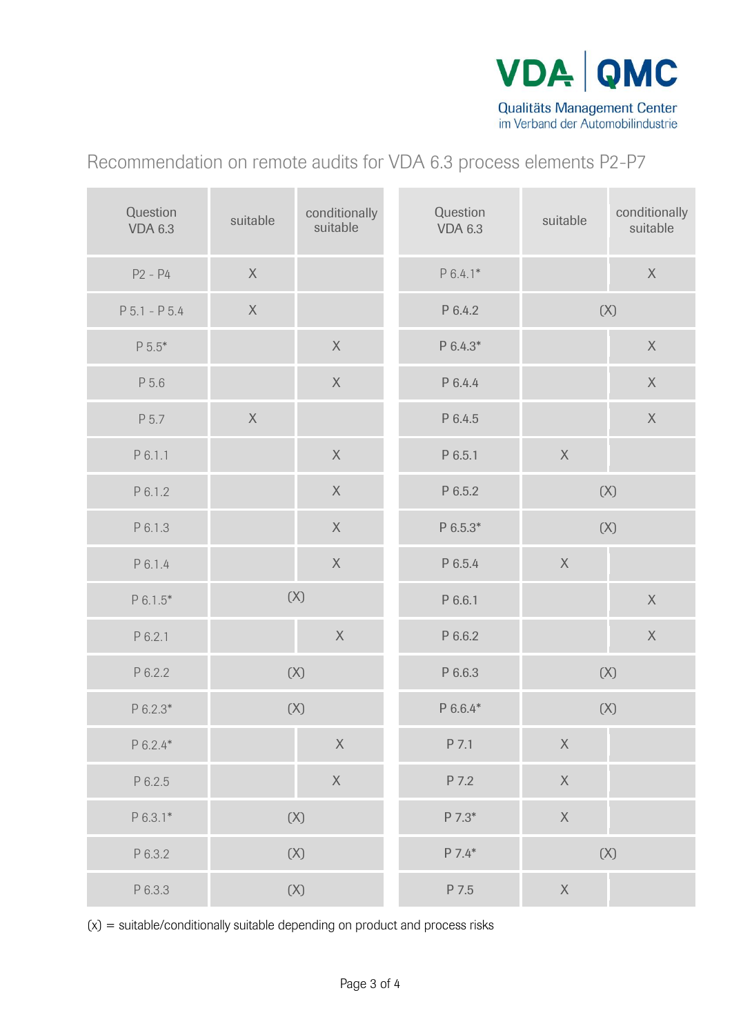

Recommendation on remote audits for VDA 6.3 process elements P2-P7

| Question<br><b>VDA 6.3</b> | suitable       | conditionally<br>suitable | Question<br><b>VDA 6.3</b> | suitable       | conditionally<br>suitable |
|----------------------------|----------------|---------------------------|----------------------------|----------------|---------------------------|
| $P2 - P4$                  | $\mathsf X$    |                           | $P6.4.1*$                  |                | $\mathsf X$               |
| $P 5.1 - P 5.4$            | $\mathsf{X}$   |                           | P 6.4.2                    | (X)            |                           |
| $P 5.5*$                   |                | $\mathsf X$               | P 6.4.3*                   |                | $\mathsf X$               |
| P 5.6                      |                | $\mathsf X$               | P 6.4.4                    |                | $\mathsf X$               |
| P 5.7                      | $\sf X$        |                           | P 6.4.5                    |                | $\mathsf X$               |
| P 6.1.1                    |                | $\mathsf X$               | P 6.5.1                    | $\mathsf X$    |                           |
| P 6.1.2                    |                | $\mathsf X$               | P 6.5.2                    | (X)            |                           |
| P 6.1.3                    |                | $\mathsf X$               | $P 6.5.3*$                 | (X)            |                           |
| P 6.1.4                    |                | $\mathsf X$               | P 6.5.4                    | $\mathsf X$    |                           |
| $P 6.1.5*$                 | (X)            |                           | P 6.6.1                    |                | X                         |
| P 6.2.1                    |                | $\mathsf X$               | P 6.6.2                    |                | $\mathsf X$               |
| P 6.2.2                    | $(\mathsf{X})$ |                           | P 6.6.3                    | (X)            |                           |
| P 6.2.3*                   | $(X)$          |                           | P 6.6.4*                   | (X)            |                           |
| $P 6.2.4*$                 |                | $\mathsf X$               | P 7.1                      | $\mathsf X$    |                           |
| P 6.2.5                    |                | $\mathsf X$               | P 7.2                      | $\mathsf X$    |                           |
| $P 6.3.1*$                 | $(\mathsf{X})$ |                           | P 7.3*                     | $\mathsf X$    |                           |
| P 6.3.2                    | $(\mathsf{X})$ |                           | $P 7.4*$                   | $(\mathsf{X})$ |                           |
| P 6.3.3                    |                | (X)                       | P 7.5                      | $\mathsf X$    |                           |

 $(x)$  = suitable/conditionally suitable depending on product and process risks